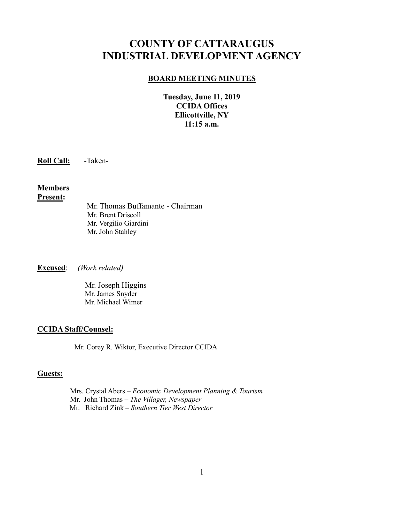# **COUNTY OF CATTARAUGUS INDUSTRIAL DEVELOPMENT AGENCY**

#### **BOARD MEETING MINUTES**

**Tuesday, June 11, 2019 CCIDA Offices Ellicottville, NY 11:15 a.m.**

**Roll Call:** -Taken-

#### **Members Present:**

Mr. Thomas Buffamante - Chairman Mr. Brent Driscoll Mr. Vergilio Giardini Mr. John Stahley

**Excused**: *(Work related)*

Mr. Joseph Higgins Mr. James Snyder Mr. Michael Wimer

#### **CCIDA Staff/Counsel:**

Mr. Corey R. Wiktor, Executive Director CCIDA

#### **Guests:**

Mrs. Crystal Abers – *Economic Development Planning & Tourism* Mr. John Thomas – *The Villager, Newspaper* Mr. Richard Zink – *Southern Tier West Director*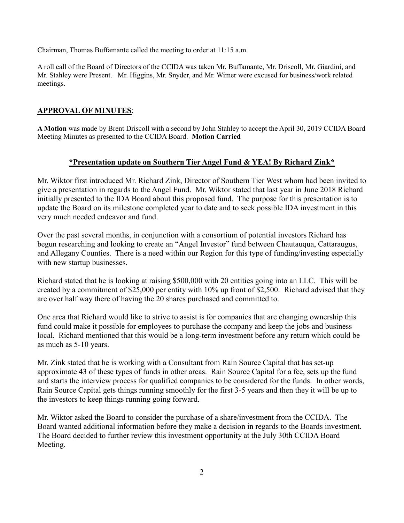Chairman, Thomas Buffamante called the meeting to order at 11:15 a.m.

A roll call of the Board of Directors of the CCIDA was taken Mr. Buffamante, Mr. Driscoll, Mr. Giardini, and Mr. Stahley were Present. Mr. Higgins, Mr. Snyder, and Mr. Wimer were excused for business/work related meetings.

## **APPROVAL OF MINUTES**:

**A Motion** was made by Brent Driscoll with a second by John Stahley to accept the April 30, 2019 CCIDA Board Meeting Minutes as presented to the CCIDA Board. **Motion Carried**

## **\*Presentation update on Southern Tier Angel Fund & YEA! By Richard Zink\***

Mr. Wiktor first introduced Mr. Richard Zink, Director of Southern Tier West whom had been invited to give a presentation in regards to the Angel Fund. Mr. Wiktor stated that last year in June 2018 Richard initially presented to the IDA Board about this proposed fund. The purpose for this presentation is to update the Board on its milestone completed year to date and to seek possible IDA investment in this very much needed endeavor and fund.

Over the past several months, in conjunction with a consortium of potential investors Richard has begun researching and looking to create an "Angel Investor" fund between Chautauqua, Cattaraugus, and Allegany Counties. There is a need within our Region for this type of funding/investing especially with new startup businesses.

Richard stated that he is looking at raising \$500,000 with 20 entities going into an LLC. This will be created by a commitment of \$25,000 per entity with 10% up front of \$2,500. Richard advised that they are over half way there of having the 20 shares purchased and committed to.

One area that Richard would like to strive to assist is for companies that are changing ownership this fund could make it possible for employees to purchase the company and keep the jobs and business local. Richard mentioned that this would be a long-term investment before any return which could be as much as 5-10 years.

Mr. Zink stated that he is working with a Consultant from Rain Source Capital that has set-up approximate 43 of these types of funds in other areas. Rain Source Capital for a fee, sets up the fund and starts the interview process for qualified companies to be considered for the funds. In other words, Rain Source Capital gets things running smoothly for the first 3-5 years and then they it will be up to the investors to keep things running going forward.

Mr. Wiktor asked the Board to consider the purchase of a share/investment from the CCIDA. The Board wanted additional information before they make a decision in regards to the Boards investment. The Board decided to further review this investment opportunity at the July 30th CCIDA Board Meeting.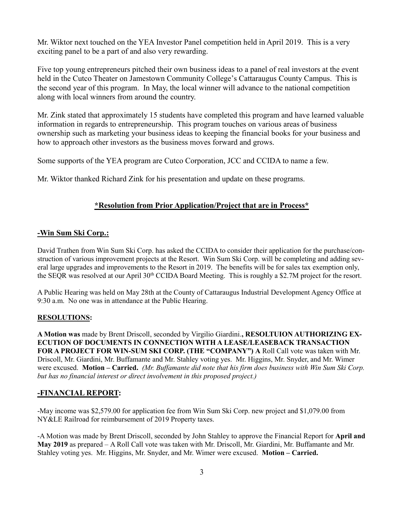Mr. Wiktor next touched on the YEA Investor Panel competition held in April 2019. This is a very exciting panel to be a part of and also very rewarding.

Five top young entrepreneurs pitched their own business ideas to a panel of real investors at the event held in the Cutco Theater on Jamestown Community College's Cattaraugus County Campus. This is the second year of this program. In May, the local winner will advance to the national competition along with local winners from around the country.

Mr. Zink stated that approximately 15 students have completed this program and have learned valuable information in regards to entrepreneurship. This program touches on various areas of business ownership such as marketing your business ideas to keeping the financial books for your business and how to approach other investors as the business moves forward and grows.

Some supports of the YEA program are Cutco Corporation, JCC and CCIDA to name a few.

Mr. Wiktor thanked Richard Zink for his presentation and update on these programs.

## **\*Resolution from Prior Application/Project that are in Process\***

## **-Win Sum Ski Corp.:**

David Trathen from Win Sum Ski Corp. has asked the CCIDA to consider their application for the purchase/construction of various improvement projects at the Resort. Win Sum Ski Corp. will be completing and adding several large upgrades and improvements to the Resort in 2019. The benefits will be for sales tax exemption only, the SEQR was resolved at our April 30<sup>th</sup> CCIDA Board Meeting. This is roughly a \$2.7M project for the resort.

A Public Hearing was held on May 28th at the County of Cattaraugus Industrial Development Agency Office at 9:30 a.m. No one was in attendance at the Public Hearing.

#### **RESOLUTIONS:**

**A Motion was** made by Brent Driscoll, seconded by Virgilio Giardini.**, RESOLTUION AUTHORIZING EX-ECUTION OF DOCUMENTS IN CONNECTION WITH A LEASE/LEASEBACK TRANSACTION FOR A PROJECT FOR WIN-SUM SKI CORP. (THE "COMPANY") A** Roll Call vote was taken with Mr. Driscoll, Mr. Giardini, Mr. Buffamante and Mr. Stahley voting yes. Mr. Higgins, Mr. Snyder, and Mr. Wimer were excused. **Motion – Carried.** *(Mr. Buffamante did note that his firm does business with Win Sum Ski Corp. but has no financial interest or direct involvement in this proposed project.)*

#### **-FINANCIAL REPORT:**

-May income was \$2,579.00 for application fee from Win Sum Ski Corp. new project and \$1,079.00 from NY&LE Railroad for reimbursement of 2019 Property taxes.

-A Motion was made by Brent Driscoll, seconded by John Stahley to approve the Financial Report for **April and May 2019** as prepared – A Roll Call vote was taken with Mr. Driscoll, Mr. Giardini, Mr. Buffamante and Mr. Stahley voting yes. Mr. Higgins, Mr. Snyder, and Mr. Wimer were excused. **Motion – Carried.**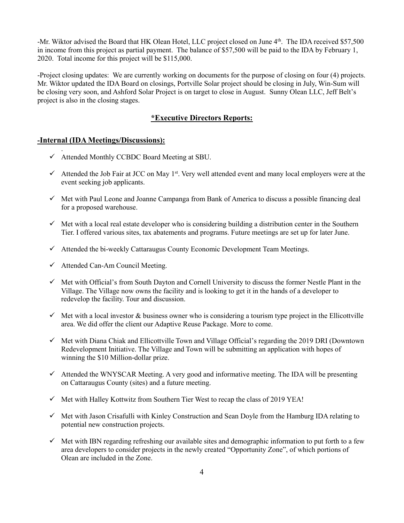-Mr. Wiktor advised the Board that HK Olean Hotel, LLC project closed on June 4<sup>th</sup>. The IDA received \$57,500 in income from this project as partial payment. The balance of \$57,500 will be paid to the IDA by February 1, 2020. Total income for this project will be \$115,000.

-Project closing updates: We are currently working on documents for the purpose of closing on four (4) projects. Mr. Wiktor updated the IDA Board on closings, Portville Solar project should be closing in July, Win-Sum will be closing very soon, and Ashford Solar Project is on target to close in August. Sunny Olean LLC, Jeff Belt's project is also in the closing stages.

## **\*Executive Directors Reports:**

### **-Internal (IDA Meetings/Discussions):**

.

- ✓ Attended Monthly CCBDC Board Meeting at SBU.
- $\checkmark$  Attended the Job Fair at JCC on May 1<sup>st</sup>. Very well attended event and many local employers were at the event seeking job applicants.
- $\checkmark$  Met with Paul Leone and Joanne Campanga from Bank of America to discuss a possible financing deal for a proposed warehouse.
- $\checkmark$  Met with a local real estate developer who is considering building a distribution center in the Southern Tier. I offered various sites, tax abatements and programs. Future meetings are set up for later June.
- $\checkmark$  Attended the bi-weekly Cattaraugus County Economic Development Team Meetings.
- $\checkmark$  Attended Can-Am Council Meeting.
- $\checkmark$  Met with Official's from South Dayton and Cornell University to discuss the former Nestle Plant in the Village. The Village now owns the facility and is looking to get it in the hands of a developer to redevelop the facility. Tour and discussion.
- $\checkmark$  Met with a local investor & business owner who is considering a tourism type project in the Ellicottville area. We did offer the client our Adaptive Reuse Package. More to come.
- ✓ Met with Diana Chiak and Ellicottville Town and Village Official's regarding the 2019 DRI (Downtown Redevelopment Initiative. The Village and Town will be submitting an application with hopes of winning the \$10 Million-dollar prize.
- $\checkmark$  Attended the WNYSCAR Meeting. A very good and informative meeting. The IDA will be presenting on Cattaraugus County (sites) and a future meeting.
- $\checkmark$  Met with Halley Kottwitz from Southern Tier West to recap the class of 2019 YEA!
- ✓ Met with Jason Crisafulli with Kinley Construction and Sean Doyle from the Hamburg IDA relating to potential new construction projects.
- $\checkmark$  Met with IBN regarding refreshing our available sites and demographic information to put forth to a few area developers to consider projects in the newly created "Opportunity Zone", of which portions of Olean are included in the Zone.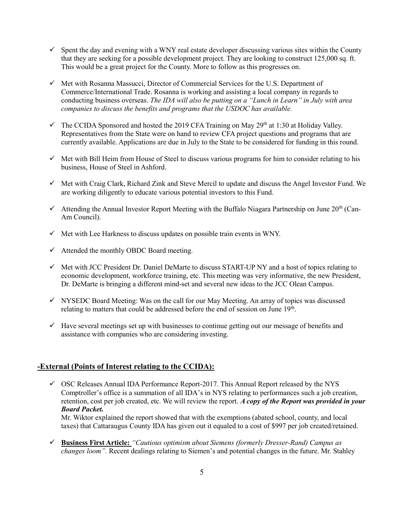- $\checkmark$  Spent the day and evening with a WNY real estate developer discussing various sites within the County that they are seeking for a possible development project. They are looking to construct 125,000 sq. ft. This would be a great project for the County. More to follow as this progresses on.
- ✓ Met with Rosanna Massucci, Director of Commercial Services for the U.S. Department of Commerce/International Trade. Rosanna is working and assisting a local company in regards to conducting business overseas. *The IDA will also be putting on a "Lunch in Learn" in July with area companies to discuss the benefits and programs that the USDOC has available.*
- $\checkmark$  The CCIDA Sponsored and hosted the 2019 CFA Training on May 29<sup>th</sup> at 1:30 at Holiday Valley. Representatives from the State were on hand to review CFA project questions and programs that are currently available. Applications are due in July to the State to be considered for funding in this round.
- $\checkmark$  Met with Bill Heim from House of Steel to discuss various programs for him to consider relating to his business, House of Steel in Ashford.
- ✓ Met with Craig Clark, Richard Zink and Steve Mercil to update and discuss the Angel Investor Fund. We are working diligently to educate various potential investors to this Fund.
- $\checkmark$  Attending the Annual Investor Report Meeting with the Buffalo Niagara Partnership on June 20<sup>th</sup> (Can-Am Council).
- $\checkmark$  Met with Lee Harkness to discuss updates on possible train events in WNY.
- $\checkmark$  Attended the monthly OBDC Board meeting.
- $\checkmark$  Met with JCC President Dr. Daniel DeMarte to discuss START-UP NY and a host of topics relating to economic development, workforce training, etc. This meeting was very informative, the new President, Dr. DeMarte is bringing a different mind-set and several new ideas to the JCC Olean Campus.
- ✓ NYSEDC Board Meeting: Was on the call for our May Meeting. An array of topics was discussed relating to matters that could be addressed before the end of session on June 19<sup>th</sup>.
- $\checkmark$  Have several meetings set up with businesses to continue getting out our message of benefits and assistance with companies who are considering investing.

#### **-External (Points of Interest relating to the CCIDA):**

 $\checkmark$  OSC Releases Annual IDA Performance Report-2017. This Annual Report released by the NYS Comptroller's office is a summation of all IDA's in NYS relating to performances such a job creation, retention, cost per job created, etc. We will review the report. *A copy of the Report was provided in your Board Packet.*

Mr. Wiktor explained the report showed that with the exemptions (abated school, county, and local taxes) that Cattaraugus County IDA has given out it equaled to a cost of \$997 per job created/retained.

✓ **Business First Article:** *"Cautious optimism about Siemens (formerly Dresser-Rand) Campus as changes loom".* Recent dealings relating to Siemen's and potential changes in the future. Mr. Stahley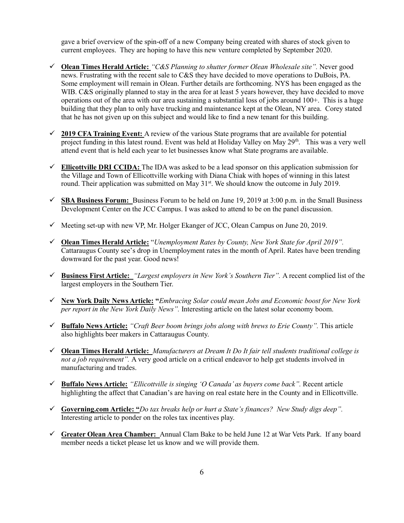gave a brief overview of the spin-off of a new Company being created with shares of stock given to current employees. They are hoping to have this new venture completed by September 2020.

- ✓ **Olean Times Herald Article:** *"C&S Planning to shutter former Olean Wholesale site".* Never good news. Frustrating with the recent sale to C&S they have decided to move operations to DuBois, PA. Some employment will remain in Olean. Further details are forthcoming. NYS has been engaged as the WIB. C&S originally planned to stay in the area for at least 5 years however, they have decided to move operations out of the area with our area sustaining a substantial loss of jobs around 100+. This is a huge building that they plan to only have trucking and maintenance kept at the Olean, NY area. Corey stated that he has not given up on this subject and would like to find a new tenant for this building.
- ✓ **2019 CFA Training Event:** A review of the various State programs that are available for potential project funding in this latest round. Event was held at Holiday Valley on May 29<sup>th</sup>. This was a very well attend event that is held each year to let businesses know what State programs are available.
- ✓ **Ellicottville DRI CCIDA:** The IDA was asked to be a lead sponsor on this application submission for the Village and Town of Ellicottville working with Diana Chiak with hopes of winning in this latest round. Their application was submitted on May  $31<sup>st</sup>$ . We should know the outcome in July 2019.
- ✓ **SBA Business Forum:** Business Forum to be held on June 19, 2019 at 3:00 p.m. in the Small Business Development Center on the JCC Campus. I was asked to attend to be on the panel discussion.
- $\checkmark$  Meeting set-up with new VP, Mr. Holger Ekanger of JCC, Olean Campus on June 20, 2019.
- ✓ **Olean Times Herald Article:** "*Unemployment Rates by County, New York State for April 2019".*  Cattaraugus County see's drop in Unemployment rates in the month of April. Rates have been trending downward for the past year. Good news!
- ✓ **Business First Article:** *"Largest employers in New York's Southern Tier".* A recent complied list of the largest employers in the Southern Tier.
- ✓ **New York Daily News Article: "***Embracing Solar could mean Jobs and Economic boost for New York per report in the New York Daily News".* Interesting article on the latest solar economy boom.
- ✓ **Buffalo News Article:** *"Craft Beer boom brings jobs along with brews to Erie County".* This article also highlights beer makers in Cattaraugus County.
- ✓ **Olean Times Herald Article:** *Manufacturers at Dream It Do It fair tell students traditional college is not a job requirement".* A very good article on a critical endeavor to help get students involved in manufacturing and trades.
- ✓ **Buffalo News Article:** *"Ellicottville is singing 'O Canada' as buyers come back".* Recent article highlighting the affect that Canadian's are having on real estate here in the County and in Ellicottville.
- ✓ **Governing.com Article: "***Do tax breaks help or hurt a State's finances? New Study digs deep".*  Interesting article to ponder on the roles tax incentives play.
- ✓ **Greater Olean Area Chamber:** Annual Clam Bake to be held June 12 at War Vets Park. If any board member needs a ticket please let us know and we will provide them.